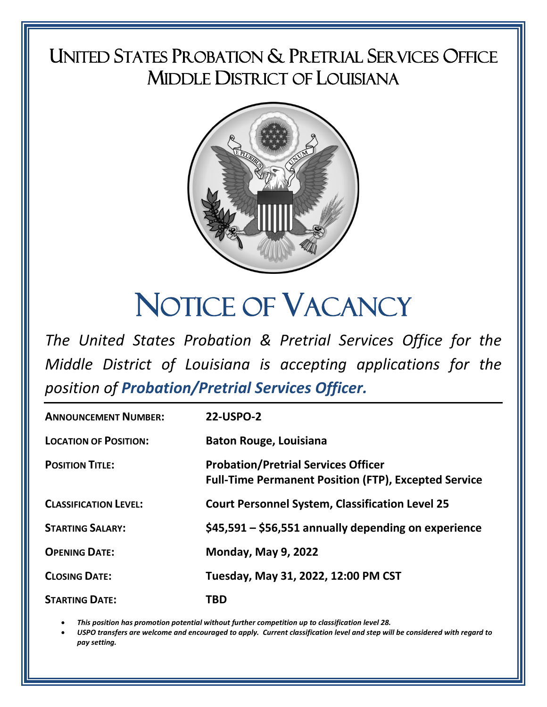# UNITED STATES PROBATION & PRETRIAL SERVICES OFFICE MIDDLE DISTRICT OF LOUISIANA



# NOTICE OF VACANCY

*The United States Probation & Pretrial Services Office for the Middle District of Louisiana is accepting applications for the position of Probation/Pretrial Services Officer.*

| <b>ANNOUNCEMENT NUMBER:</b>  | <b>22-USPO-2</b>                                                                                          |
|------------------------------|-----------------------------------------------------------------------------------------------------------|
| <b>LOCATION OF POSITION:</b> | <b>Baton Rouge, Louisiana</b>                                                                             |
| <b>POSITION TITLE:</b>       | <b>Probation/Pretrial Services Officer</b><br><b>Full-Time Permanent Position (FTP), Excepted Service</b> |
| <b>CLASSIFICATION LEVEL:</b> | <b>Court Personnel System, Classification Level 25</b>                                                    |
| <b>STARTING SALARY:</b>      | \$45,591 – \$56,551 annually depending on experience                                                      |
| <b>OPENING DATE:</b>         | <b>Monday, May 9, 2022</b>                                                                                |
| <b>CLOSING DATE:</b>         | Tuesday, May 31, 2022, 12:00 PM CST                                                                       |
| <b>STARTING DATE:</b>        | TBD                                                                                                       |

• *This position has promotion potential without further competition up to classification level 28.*

• *USPO transfers are welcome and encouraged to apply. Current classification level and step will be considered with regard to pay setting.*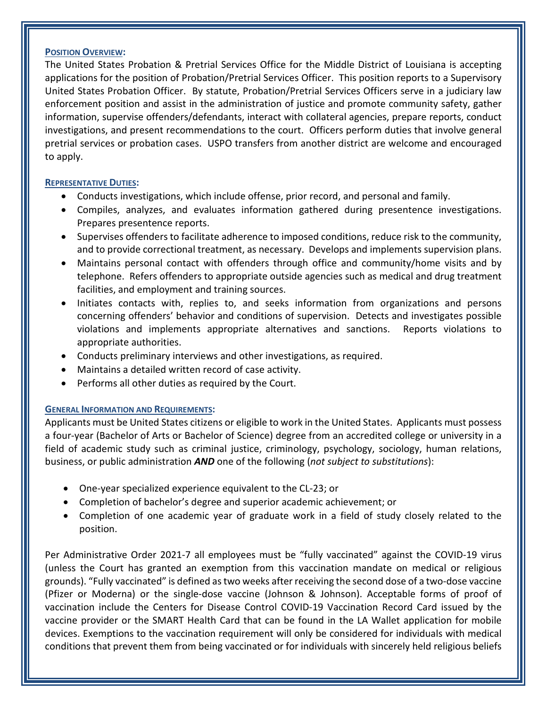#### **POSITION OVERVIEW:**

The United States Probation & Pretrial Services Office for the Middle District of Louisiana is accepting applications for the position of Probation/Pretrial Services Officer. This position reports to a Supervisory United States Probation Officer. By statute, Probation/Pretrial Services Officers serve in a judiciary law enforcement position and assist in the administration of justice and promote community safety, gather information, supervise offenders/defendants, interact with collateral agencies, prepare reports, conduct investigations, and present recommendations to the court. Officers perform duties that involve general pretrial services or probation cases. USPO transfers from another district are welcome and encouraged to apply.

#### **REPRESENTATIVE DUTIES:**

- Conducts investigations, which include offense, prior record, and personal and family.
- Compiles, analyzes, and evaluates information gathered during presentence investigations. Prepares presentence reports.
- Supervises offenders to facilitate adherence to imposed conditions, reduce risk to the community, and to provide correctional treatment, as necessary. Develops and implements supervision plans.
- Maintains personal contact with offenders through office and community/home visits and by telephone. Refers offenders to appropriate outside agencies such as medical and drug treatment facilities, and employment and training sources.
- Initiates contacts with, replies to, and seeks information from organizations and persons concerning offenders' behavior and conditions of supervision. Detects and investigates possible violations and implements appropriate alternatives and sanctions. Reports violations to appropriate authorities.
- Conducts preliminary interviews and other investigations, as required.
- Maintains a detailed written record of case activity.
- Performs all other duties as required by the Court.

# **GENERAL INFORMATION AND REQUIREMENTS:**

Applicants must be United States citizens or eligible to work in the United States. Applicants must possess a four-year (Bachelor of Arts or Bachelor of Science) degree from an accredited college or university in a field of academic study such as criminal justice, criminology, psychology, sociology, human relations, business, or public administration *AND* one of the following (*not subject to substitutions*):

- One-year specialized experience equivalent to the CL-23; or
- Completion of bachelor's degree and superior academic achievement; or
- Completion of one academic year of graduate work in a field of study closely related to the position.

Per Administrative Order 2021-7 all employees must be "fully vaccinated" against the COVID-19 virus (unless the Court has granted an exemption from this vaccination mandate on medical or religious grounds). "Fully vaccinated" is defined as two weeks after receiving the second dose of a two-dose vaccine (Pfizer or Moderna) or the single-dose vaccine (Johnson & Johnson). Acceptable forms of proof of vaccination include the Centers for Disease Control COVID-19 Vaccination Record Card issued by the vaccine provider or the SMART Health Card that can be found in the LA Wallet application for mobile devices. Exemptions to the vaccination requirement will only be considered for individuals with medical conditions that prevent them from being vaccinated or for individuals with sincerely held religious beliefs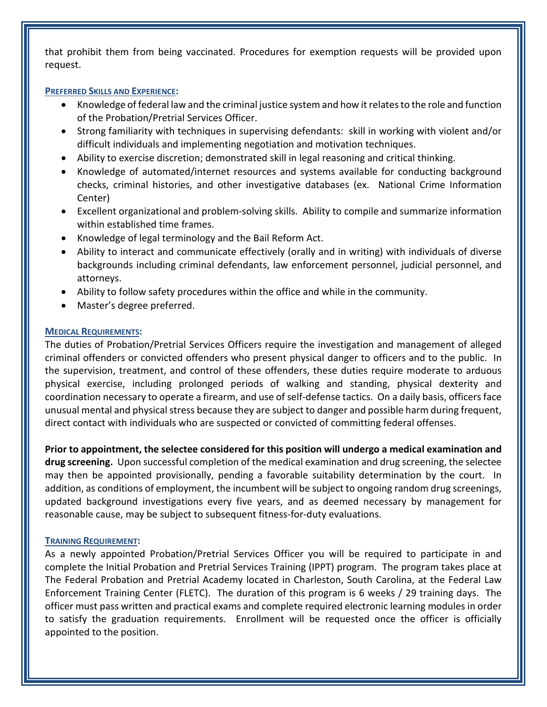that prohibit them from being vaccinated. Procedures for exemption requests will be provided upon request.

#### **PREFERRED SKILLS AND EXPERIENCE:**

- Knowledge of federal law and the criminal justice system and how it relates to the role and function of the Probation/Pretrial Services Officer.
- Strong familiarity with techniques in supervising defendants: skill in working with violent and/or difficult individuals and implementing negotiation and motivation techniques.
- Ability to exercise discretion; demonstrated skill in legal reasoning and critical thinking.
- Knowledge of automated/internet resources and systems available for conducting background checks, criminal histories, and other investigative databases (ex. National Crime Information Center)
- Excellent organizational and problem-solving skills. Ability to compile and summarize information within established time frames.
- Knowledge of legal terminology and the Bail Reform Act.
- Ability to interact and communicate effectively (orally and in writing) with individuals of diverse backgrounds including criminal defendants, law enforcement personnel, judicial personnel, and attorneys.
- Ability to follow safety procedures within the office and while in the community.
- Master's degree preferred.

# **MEDICAL REQUIREMENTS:**

The duties of Probation/Pretrial Services Officers require the investigation and management of alleged criminal offenders or convicted offenders who present physical danger to officers and to the public. In the supervision, treatment, and control of these offenders, these duties require moderate to arduous physical exercise, including prolonged periods of walking and standing, physical dexterity and coordination necessary to operate a firearm, and use of self-defense tactics. On a daily basis, officers face unusual mental and physical stress because they are subject to danger and possible harm during frequent, direct contact with individuals who are suspected or convicted of committing federal offenses.

**Prior to appointment, the selectee considered for this position will undergo a medical examination and drug screening.** Upon successful completion of the medical examination and drug screening, the selectee may then be appointed provisionally, pending a favorable suitability determination by the court. In addition, as conditions of employment, the incumbent will be subject to ongoing random drug screenings, updated background investigations every five years, and as deemed necessary by management for reasonable cause, may be subject to subsequent fitness-for-duty evaluations.

# **TRAINING REQUIREMENT:**

As a newly appointed Probation/Pretrial Services Officer you will be required to participate in and complete the Initial Probation and Pretrial Services Training (IPPT) program. The program takes place at The Federal Probation and Pretrial Academy located in Charleston, South Carolina, at the Federal Law Enforcement Training Center (FLETC). The duration of this program is 6 weeks / 29 training days. The officer must pass written and practical exams and complete required electronic learning modules in order to satisfy the graduation requirements. Enrollment will be requested once the officer is officially appointed to the position.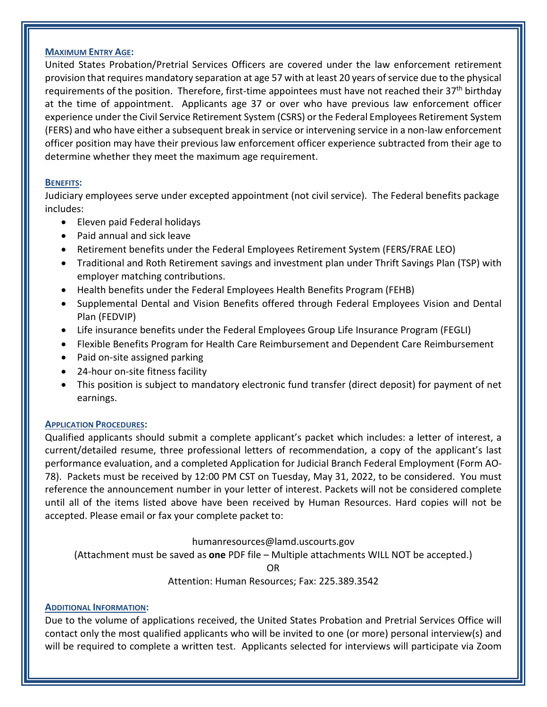#### **MAXIMUM ENTRY AGE:**

United States Probation/Pretrial Services Officers are covered under the law enforcement retirement provision that requires mandatory separation at age 57 with at least 20 years of service due to the physical requirements of the position. Therefore, first-time appointees must have not reached their 37<sup>th</sup> birthday at the time of appointment. Applicants age 37 or over who have previous law enforcement officer experience under the Civil Service Retirement System (CSRS) or the Federal Employees Retirement System (FERS) and who have either a subsequent break in service or intervening service in a non-law enforcement officer position may have their previous law enforcement officer experience subtracted from their age to determine whether they meet the maximum age requirement.

#### **BENEFITS:**

Judiciary employees serve under excepted appointment (not civil service). The Federal benefits package includes:

- Eleven paid Federal holidays
- Paid annual and sick leave
- Retirement benefits under the Federal Employees Retirement System (FERS/FRAE LEO)
- Traditional and Roth Retirement savings and investment plan under Thrift Savings Plan (TSP) with employer matching contributions.
- Health benefits under the Federal Employees Health Benefits Program (FEHB)
- Supplemental Dental and Vision Benefits offered through Federal Employees Vision and Dental Plan (FEDVIP)
- Life insurance benefits under the Federal Employees Group Life Insurance Program (FEGLI)
- Flexible Benefits Program for Health Care Reimbursement and Dependent Care Reimbursement
- Paid on-site assigned parking
- 24-hour on-site fitness facility
- This position is subject to mandatory electronic fund transfer (direct deposit) for payment of net earnings.

# **APPLICATION PROCEDURES:**

Qualified applicants should submit a complete applicant's packet which includes: a letter of interest, a current/detailed resume, three professional letters of recommendation, a copy of the applicant's last performance evaluation, and a completed Application for Judicial Branch Federal Employment (Form AO-78). Packets must be received by 12:00 PM CST on Tuesday, May 31, 2022, to be considered. You must reference the announcement number in your letter of interest. Packets will not be considered complete until all of the items listed above have been received by Human Resources. Hard copies will not be accepted. Please email or fax your complete packet to:

humanresources@lamd.uscourts.gov

(Attachment must be saved as **one** PDF file – Multiple attachments WILL NOT be accepted.)

OR

Attention: Human Resources; Fax: 225.389.3542

#### **ADDITIONAL INFORMATION:**

Due to the volume of applications received, the United States Probation and Pretrial Services Office will contact only the most qualified applicants who will be invited to one (or more) personal interview(s) and will be required to complete a written test. Applicants selected for interviews will participate via Zoom